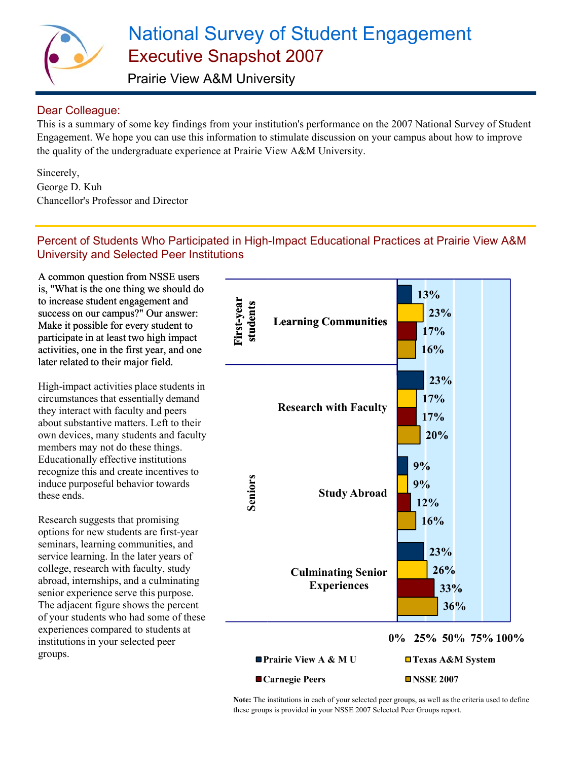

# National Survey of Student Engagement Executive Snapshot 2007

Prairie View A&M University

## Dear Colleague:

This is a summary of some key findings from your institution's performance on the 2007 National Survey of Student Engagement. We hope you can use this information to stimulate discussion on your campus about how to improve the quality of the undergraduate experience at Prairie View A&M University.

Sincerely, George D. Kuh Chancellor's Professor and Director

## Percent of Students Who Participated in High-Impact Educational Practices at Prairie View A&M University and Selected Peer Institutions

A common question from NSSE users is, "What is the one thing we should do to increase student engagement and success on our campus?" Our answer: Make it possible for every student to participate in at least two high impact activities, one in the first year, and one later related to their major field.

High-impact activities place students in circumstances that essentially demand they interact with faculty and peers about substantive matters. Left to their own devices, many students and faculty members may not do these things. Educationally effective institutions recognize this and create incentives to induce purposeful behavior towards these ends.

Research suggests that promising options for new students are first-year seminars, learning communities, and service learning. In the later years of college, research with faculty, study abroad, internships, and a culminating senior experience serve this purpose. The adjacent figure shows the percent of your students who had some of these experiences compared to students at institutions in your selected peer groups.



**Note:** The institutions in each of your selected peer groups, as well as the criteria used to define these groups is provided in your NSSE 2007 Selected Peer Groups report.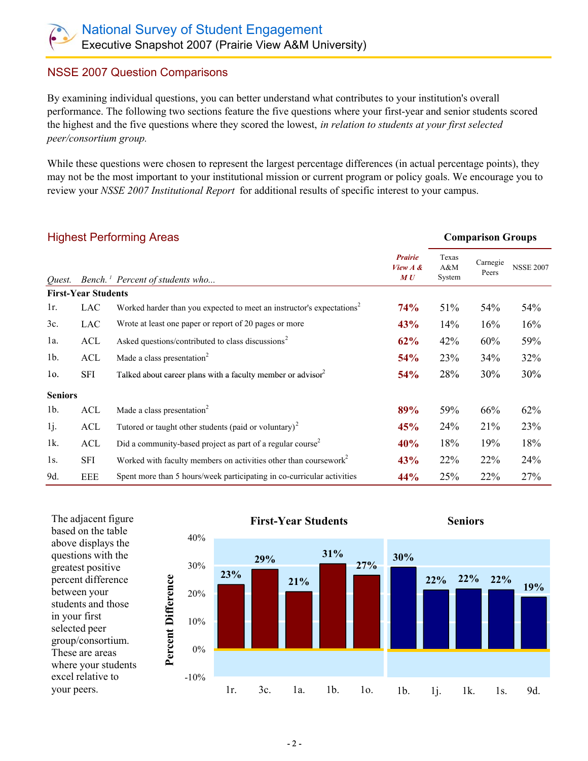### NSSE 2007 Question Comparisons

By examining individual questions, you can better understand what contributes to your institution's overall performance. The following two sections feature the five questions where your first-year and senior students scored the highest and the five questions where they scored the lowest, *in relation to students at your first selected peer/consortium group.* 

While these questions were chosen to represent the largest percentage differences (in actual percentage points), they may not be the most important to your institutional mission or current program or policy goals. We encourage you to review your *NSSE 2007 Institutional Report* for additional results of specific interest to your campus.

| <b>Highest Performing Areas</b> |                            |                                                                                   |                                      |                        | <b>Comparison Groups</b> |                  |
|---------------------------------|----------------------------|-----------------------------------------------------------------------------------|--------------------------------------|------------------------|--------------------------|------------------|
| Ouest.                          |                            | Bench. <sup>1</sup> Percent of students who                                       | <b>Prairie</b><br>View $A \&$<br>M U | Texas<br>A&M<br>System | Carnegie<br>Peers        | <b>NSSE 2007</b> |
|                                 | <b>First-Year Students</b> |                                                                                   |                                      |                        |                          |                  |
| 1r.                             | LAC                        | Worked harder than you expected to meet an instructor's expectations <sup>2</sup> | <b>74%</b>                           | 51%                    | 54%                      | 54%              |
| 3c.                             | LAC                        | Wrote at least one paper or report of 20 pages or more                            | 43%                                  | 14%                    | 16%                      | 16%              |
| la.                             | ACL                        | Asked questions/contributed to class discussions <sup>2</sup>                     | 62%                                  | 42%                    | 60%                      | 59%              |
| 1 <sub>b</sub>                  | ACL                        | Made a class presentation <sup>2</sup>                                            | 54%                                  | 23%                    | 34%                      | 32%              |
| 10.                             | SFI                        | Talked about career plans with a faculty member or advisor <sup>2</sup>           | 54%                                  | 28%                    | 30%                      | 30%              |
| <b>Seniors</b>                  |                            |                                                                                   |                                      |                        |                          |                  |
| 1 <sub>b</sub>                  | ACL                        | Made a class presentation <sup>2</sup>                                            | 89%                                  | 59%                    | 66%                      | 62%              |
| 1j.                             | ACL                        | Tutored or taught other students (paid or voluntary) <sup>2</sup>                 | 45%                                  | 24%                    | 21%                      | 23%              |
| 1k.                             | ACL                        | Did a community-based project as part of a regular course <sup>2</sup>            | 40%                                  | 18%                    | 19%                      | 18%              |
| 1s.                             | SFI                        | Worked with faculty members on activities other than coursework <sup>2</sup>      | 43%                                  | 22%                    | 22%                      | 24%              |
| 9d.                             | <b>EEE</b>                 | Spent more than 5 hours/week participating in co-curricular activities            | 44%                                  | 25%                    | 22%                      | 27%              |





The adjacent figure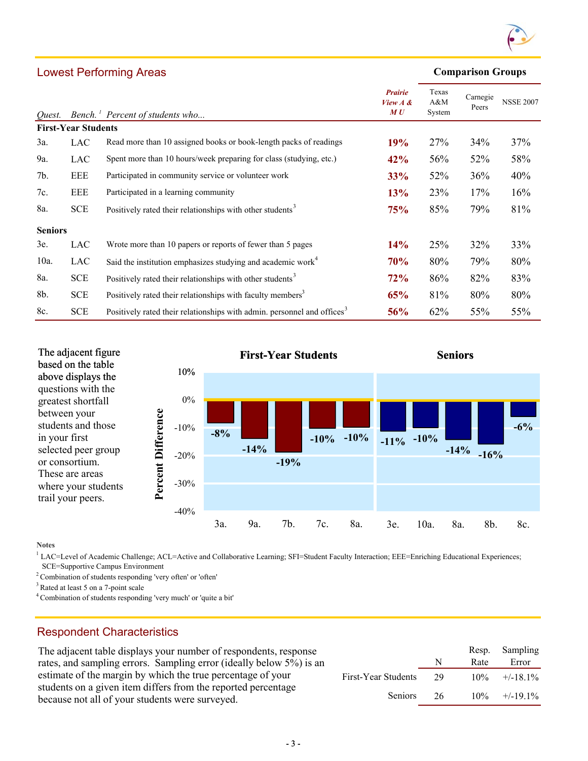

#### **Comparison Groups**

| Quest.                     |            | Bench. <sup>1</sup> Percent of students who                                         | <b>Prairie</b><br>View $A \&$<br>MU | Texas<br>A&M<br>System | Carnegie<br>Peers | <b>NSSE 2007</b> |
|----------------------------|------------|-------------------------------------------------------------------------------------|-------------------------------------|------------------------|-------------------|------------------|
| <b>First-Year Students</b> |            |                                                                                     |                                     |                        |                   |                  |
| 3a.                        | LAC        | Read more than 10 assigned books or book-length packs of readings                   | 19%                                 | 27%                    | 34%               | 37%              |
| 9a.                        | <b>LAC</b> | Spent more than 10 hours/week preparing for class (studying, etc.)                  | 42%                                 | 56%                    | 52%               | 58%              |
| 7b.                        | <b>EEE</b> | Participated in community service or volunteer work                                 | <b>33%</b>                          | 52%                    | 36%               | 40%              |
| 7c.                        | EEE        | Participated in a learning community                                                | 13%                                 | 23%                    | 17%               | 16%              |
| 8a.                        | <b>SCE</b> | Positively rated their relationships with other students <sup>3</sup>               | 75%                                 | 85%                    | 79%               | 81%              |
| <b>Seniors</b>             |            |                                                                                     |                                     |                        |                   |                  |
| 3e.                        | <b>LAC</b> | Wrote more than 10 papers or reports of fewer than 5 pages                          | 14%                                 | 25%                    | 32%               | 33%              |
| $10a$ .                    | <b>LAC</b> | Said the institution emphasizes studying and academic work <sup>4</sup>             | 70%                                 | 80%                    | 79%               | 80%              |
| 8a.                        | <b>SCE</b> | Positively rated their relationships with other students <sup>3</sup>               | 72%                                 | 86%                    | 82%               | 83%              |
| 8b.                        | <b>SCE</b> | Positively rated their relationships with faculty members <sup>3</sup>              | 65%                                 | 81%                    | 80%               | 80%              |
| 8c.                        | <b>SCE</b> | Positively rated their relationships with admin. personnel and offices <sup>3</sup> | 56%                                 | 62%                    | 55%               | 55%              |



**Notes**

<sup>1</sup> LAC=Level of Academic Challenge; ACL=Active and Collaborative Learning; SFI=Student Faculty Interaction; EEE=Enriching Educational Experiences; SCE=Supportive Campus Environment

2 Combination of students responding 'very often' or 'often'

<sup>3</sup> Rated at least 5 on a 7-point scale

Lowest Performing Areas

4 Combination of students responding 'very much' or 'quite a bit'

## Respondent Characteristics

The adjacent table displays your number of respondents, response rates, and sampling errors. Sampling error (ideally below 5%) is an estimate of the margin by which the true percentage of your students on a given item differs from the reported percentage because not all of your students were surveyed.

|                     |    |      | Resp. Sampling |
|---------------------|----|------|----------------|
|                     | N  | Rate | Error          |
| First-Year Students | 29 |      | $10\% +18.1\%$ |
| <b>Seniors</b>      | 26 |      | $10\% +19.1\%$ |